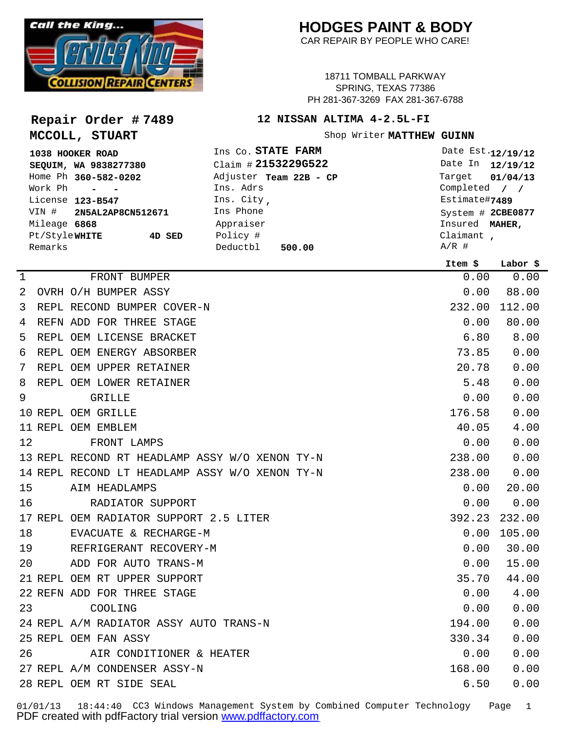

**Repair Order # 7489**

**MCCOLL, STUART**

## **HODGES PAINT & BODY**

CAR REPAIR BY PEOPLE WHO CARE!

18711 TOMBALL PARKWAY SPRING, TEXAS 77386 PH 281-367-3269 FAX 281-367-6788

## **12 NISSAN ALTIMA 4-2.5L-FI**

Shop Writer MATTHEW GUINN

| 1038 HOOKER ROAD        | Ins Co. STATE FARM     | Date Est.12/19/12                 |
|-------------------------|------------------------|-----------------------------------|
| SEQUIM, WA 9838277380   | Claim # 2153229G522    | Date In 12/19/12                  |
| Home Ph 360-582-0202    | Adjuster Team 22B - CP | Target 01/04/13                   |
| Work Ph - -             | Ins. Adrs              | Completed $/ /$                   |
| License 123-B547        | Ins. City,             | Estimate#7489                     |
| VIN # 2N5AL2AP8CN512671 | Ins Phone              | System # 2CBE0877                 |
| Mileage 6868            | Appraiser              | Insured MAHER,                    |
| Pt/StyleWHITE<br>4D SED | Policy #               | Claimant $\overline{\phantom{a}}$ |
| Remarks                 | Deductbl<br>500.00     | $A/R$ #                           |

|             |                                                | Item \$ | Labor \$ |
|-------------|------------------------------------------------|---------|----------|
| $\mathbf 1$ | FRONT BUMPER                                   | 0.00    | 0.00     |
| 2           | OVRH O/H BUMPER ASSY                           | 0.00    | 88.00    |
| 3           | REPL RECOND BUMPER COVER-N                     | 232.00  | 112.00   |
| 4           | REFN ADD FOR THREE STAGE                       | 0.00    | 80.00    |
| 5           | REPL OEM LICENSE BRACKET                       | 6.80    | 8.00     |
| 6           | REPL OEM ENERGY ABSORBER                       | 73.85   | 0.00     |
| 7           | REPL OEM UPPER RETAINER                        | 20.78   | 0.00     |
| 8           | REPL OEM LOWER RETAINER                        | 5.48    | 0.00     |
| 9           | <b>GRILLE</b>                                  | 0.00    | 0.00     |
|             | 10 REPL OEM GRILLE                             | 176.58  | 0.00     |
|             | 11 REPL OEM EMBLEM                             | 40.05   | 4.00     |
| 12          | FRONT LAMPS                                    | 0.00    | 0.00     |
|             | 13 REPL RECOND RT HEADLAMP ASSY W/O XENON TY-N | 238.00  | 0.00     |
|             | 14 REPL RECOND LT HEADLAMP ASSY W/O XENON TY-N | 238.00  | 0.00     |
| 15          | AIM HEADLAMPS                                  | 0.00    | 20.00    |
| 16          | RADIATOR SUPPORT                               | 0.00    | 0.00     |
|             | 17 REPL OEM RADIATOR SUPPORT 2.5 LITER         | 392.23  | 232.00   |
| 18          | EVACUATE & RECHARGE-M                          | 0.00    | 105.00   |
| 19          | REFRIGERANT RECOVERY-M                         | 0.00    | 30.00    |
| 20          | ADD FOR AUTO TRANS-M                           | 0.00    | 15.00    |
|             | 21 REPL OEM RT UPPER SUPPORT                   | 35.70   | 44.00    |
|             | 22 REFN ADD FOR THREE STAGE                    | 0.00    | 4.00     |
| 23          | COOLING                                        | 0.00    | 0.00     |
|             | 24 REPL A/M RADIATOR ASSY AUTO TRANS-N         | 194.00  | 0.00     |
|             | 25 REPL OEM FAN ASSY                           | 330.34  | 0.00     |
| 26          | AIR CONDITIONER & HEATER                       | 0.00    | 0.00     |
|             | 27 REPL A/M CONDENSER ASSY-N                   | 168.00  | 0.00     |
|             | 28 REPL OEM RT SIDE SEAL                       | 6.50    | 0.00     |
|             |                                                |         |          |

01/01/13 18:44:40 CC3 Windows Management System by Combined Computer Technology Page 1 PDF created with pdfFactory trial version [www.pdffactory.com](http://www.pdffactory.com)